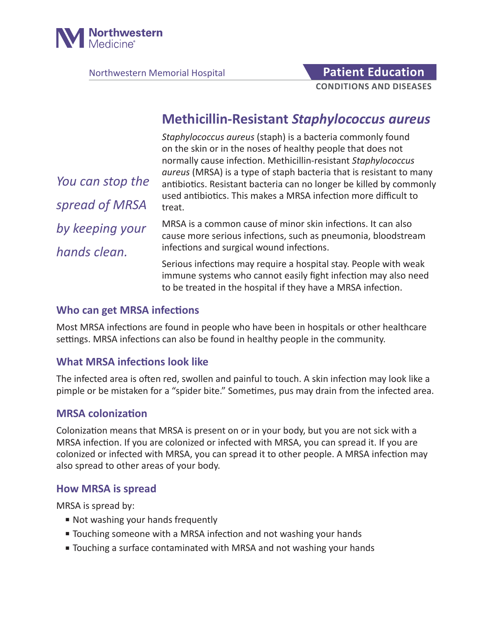

Northwestern Memorial Hospital **Patient Education** 

# **CONDITIONS AND DISEASES**

# **Methicillin-Resistant** *Staphylococcus aureus*

*Staphylococcus aureus* (staph) is a bacteria commonly found on the skin or in the noses of healthy people that does not normally cause infection. Methicillin-resistant *Staphylococcus aureus* (MRSA) is a type of staph bacteria that is resistant to many antibiotics. Resistant bacteria can no longer be killed by commonly used antibiotics. This makes a MRSA infection more difficult to treat.

*You can stop the spread of MRSA by keeping your hands clean.*

MRSA is a common cause of minor skin infections. It can also cause more serious infections, such as pneumonia, bloodstream infections and surgical wound infections.

Serious infections may require a hospital stay. People with weak immune systems who cannot easily fight infection may also need to be treated in the hospital if they have a MRSA infection.

#### **Who can get MRSA infections**

Most MRSA infections are found in people who have been in hospitals or other healthcare settings. MRSA infections can also be found in healthy people in the community.

#### **What MRSA infections look like**

The infected area is often red, swollen and painful to touch. A skin infection may look like a pimple or be mistaken for a "spider bite." Sometimes, pus may drain from the infected area.

#### **MRSA colonization**

Colonization means that MRSA is present on or in your body, but you are not sick with a MRSA infection. If you are colonized or infected with MRSA, you can spread it. If you are colonized or infected with MRSA, you can spread it to other people. A MRSA infection may also spread to other areas of your body.

#### **How MRSA is spread**

MRSA is spread by:

- Not washing your hands frequently
- Touching someone with a MRSA infection and not washing your hands
- Touching a surface contaminated with MRSA and not washing your hands